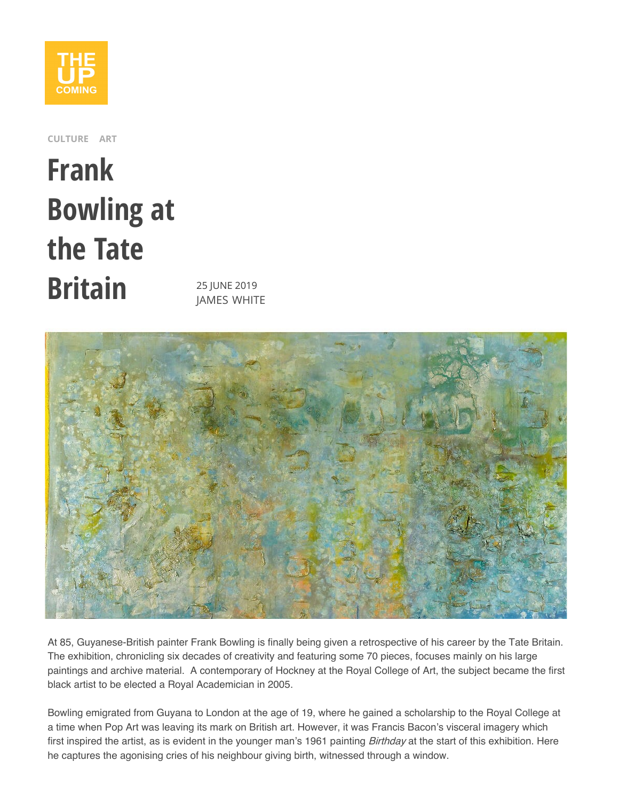

**CULTURE ART**

## **Frank Bowling at the Tate Britain** 25 JUNE 2019

**JAMES WHITE** 



At 85, Guyanese-British painter Frank Bowling is finally being given a retrospective of his career by the Tate Britain. The exhibition, chronicling six decades of creativity and featuring some 70 pieces, focuses mainly on his large paintings and archive material. A contemporary of Hockney at the Royal College of Art, the subject became the first black artist to be elected a Royal Academician in 2005.

<span id="page-0-0"></span>Bowling emigrated from Guyana to London at the age of 19, where he gained a scholarship to the Royal College at a time when Pop Art was leaving its mark on British art. However, it was Francis Bacon's visceral imagery which first inspired the artist, as is evident in the younger man's 1961 painting [Birthday](#page-0-0) at the start of this exhibition. Here he captures the agonising cries of his neighbour giving birth, witnessed through a window.